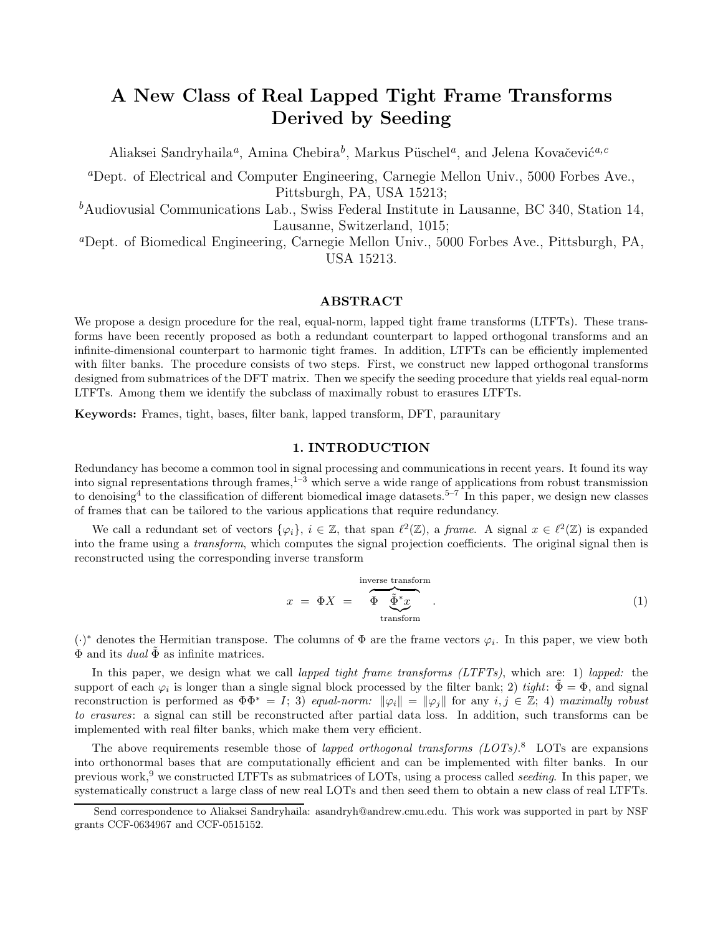# A New Class of Real Lapped Tight Frame Transforms Derived by Seeding

Aliaksei Sandryhaila<sup>*a*</sup>, Amina Chebira<sup>b</sup>, Markus Püschel<sup>a</sup>, and Jelena Kovačević<sup>a, c</sup>

<sup>a</sup>Dept. of Electrical and Computer Engineering, Carnegie Mellon Univ., 5000 Forbes Ave., Pittsburgh, PA, USA 15213;

 ${}^b$ Audiovusial Communications Lab., Swiss Federal Institute in Lausanne, BC 340, Station 14, Lausanne, Switzerland, 1015;

<sup>a</sup>Dept. of Biomedical Engineering, Carnegie Mellon Univ., 5000 Forbes Ave., Pittsburgh, PA, USA 15213.

## ABSTRACT

We propose a design procedure for the real, equal-norm, lapped tight frame transforms (LTFTs). These transforms have been recently proposed as both a redundant counterpart to lapped orthogonal transforms and an infinite-dimensional counterpart to harmonic tight frames. In addition, LTFTs can be efficiently implemented with filter banks. The procedure consists of two steps. First, we construct new lapped orthogonal transforms designed from submatrices of the DFT matrix. Then we specify the seeding procedure that yields real equal-norm LTFTs. Among them we identify the subclass of maximally robust to erasures LTFTs.

Keywords: Frames, tight, bases, filter bank, lapped transform, DFT, paraunitary

## 1. INTRODUCTION

Redundancy has become a common tool in signal processing and communications in recent years. It found its way into signal representations through frames,  $1-\frac{3}{2}$  which serve a wide range of applications from robust transmission to denoising<sup>4</sup> to the classification of different biomedical image datasets.<sup>5–7</sup> In this paper, we design new classes of frames that can be tailored to the various applications that require redundancy.

We call a redundant set of vectors  $\{\varphi_i\}, i \in \mathbb{Z}$ , that span  $\ell^2(\mathbb{Z})$ , a frame. A signal  $x \in \ell^2(\mathbb{Z})$  is expanded into the frame using a transform, which computes the signal projection coefficients. The original signal then is reconstructed using the corresponding inverse transform

$$
x = \Phi X = \overbrace{\Phi \underbrace{\tilde{\Phi}^* x}_{\text{transform}}}^{\text{inverse transform}}.
$$
 (1)

 $(\cdot)^*$  denotes the Hermitian transpose. The columns of  $\Phi$  are the frame vectors  $\varphi_i$ . In this paper, we view both  $\Phi$  and its *dual*  $\Phi$  as infinite matrices.

In this paper, we design what we call *lapped tight frame transforms (LTFTs)*, which are: 1) *lapped:* the support of each  $\varphi_i$  is longer than a single signal block processed by the filter bank; 2) tight:  $\tilde{\Phi} = \Phi$ , and signal reconstruction is performed as  $\Phi \Phi^* = I$ ; 3) equal-norm:  $\|\varphi_i\| = \|\varphi_i\|$  for any  $i, j \in \mathbb{Z}$ ; 4) maximally robust to erasures: a signal can still be reconstructed after partial data loss. In addition, such transforms can be implemented with real filter banks, which make them very efficient.

The above requirements resemble those of *lapped orthogonal transforms*  $(LOTs).$ <sup>8</sup> LOTs are expansions into orthonormal bases that are computationally efficient and can be implemented with filter banks. In our previous work,<sup>9</sup> we constructed LTFTs as submatrices of LOTs, using a process called *seeding*. In this paper, we systematically construct a large class of new real LOTs and then seed them to obtain a new class of real LTFTs.

Send correspondence to Aliaksei Sandryhaila: asandryh@andrew.cmu.edu. This work was supported in part by NSF grants CCF-0634967 and CCF-0515152.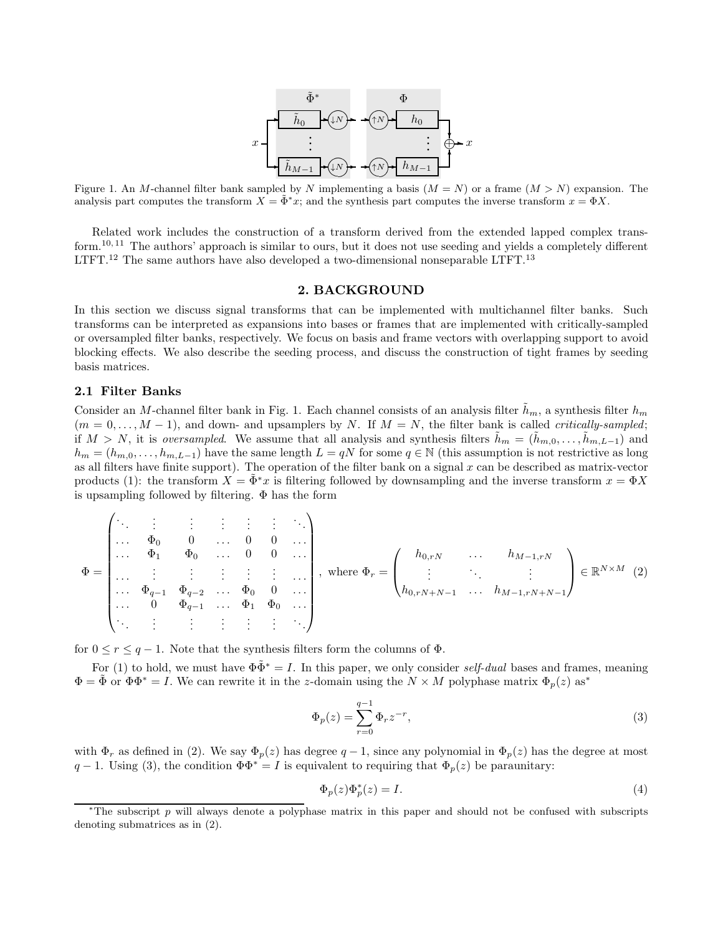

Figure 1. An M-channel filter bank sampled by N implementing a basis  $(M = N)$  or a frame  $(M > N)$  expansion. The analysis part computes the transform  $X = \Phi^* x$ ; and the synthesis part computes the inverse transform  $x = \Phi X$ .

Related work includes the construction of a transform derived from the extended lapped complex transform.<sup>10, 11</sup> The authors' approach is similar to ours, but it does not use seeding and yields a completely different LTFT.<sup>12</sup> The same authors have also developed a two-dimensional nonseparable LTFT.<sup>13</sup>

#### 2. BACKGROUND

In this section we discuss signal transforms that can be implemented with multichannel filter banks. Such transforms can be interpreted as expansions into bases or frames that are implemented with critically-sampled or oversampled filter banks, respectively. We focus on basis and frame vectors with overlapping support to avoid blocking effects. We also describe the seeding process, and discuss the construction of tight frames by seeding basis matrices.

## 2.1 Filter Banks

Consider an M-channel filter bank in Fig. 1. Each channel consists of an analysis filter  $\tilde{h}_m$ , a synthesis filter  $h_m$  $(m = 0, \ldots, M - 1)$ , and down- and upsamplers by N. If  $M = N$ , the filter bank is called *critically-sampled*; if  $M > N$ , it is oversampled. We assume that all analysis and synthesis filters  $h_m = (h_{m,0}, \ldots, h_{m,L-1})$  and  $h_m = (h_{m,0}, \ldots, h_{m,L-1})$  have the same length  $L = qN$  for some  $q \in \mathbb{N}$  (this assumption is not restrictive as long as all filters have finite support). The operation of the filter bank on a signal  $x$  can be described as matrix-vector products (1): the transform  $X = \tilde{\Phi}^* x$  is filtering followed by downsampling and the inverse transform  $x = \Phi X$ is upsampling followed by filtering. Φ has the form

$$
\Phi = \begin{pmatrix}\n\ddots & \vdots & \vdots & \vdots & \vdots & \vdots & \vdots \\
\cdots & \Phi_0 & 0 & \cdots & 0 & 0 & \cdots \\
\cdots & \Phi_1 & \Phi_0 & \cdots & 0 & 0 & \cdots \\
\cdots & \vdots & \vdots & \vdots & \vdots & \vdots & \vdots \\
\cdots & \Phi_{q-1} & \Phi_{q-2} & \cdots & \Phi_0 & 0 & \cdots \\
\cdots & 0 & \Phi_{q-1} & \cdots & \Phi_1 & \Phi_0 & \cdots \\
\vdots & \vdots & \vdots & \vdots & \vdots & \vdots\n\end{pmatrix}, \text{ where } \Phi_r = \begin{pmatrix} h_{0,rN} & \cdots & h_{M-1,rN} \\
\vdots & \ddots & \vdots \\
h_{0,rN+N-1} & \cdots & h_{M-1,rN+N-1} \end{pmatrix} \in \mathbb{R}^{N \times M} \tag{2}
$$

for  $0 \le r \le q-1$ . Note that the synthesis filters form the columns of  $\Phi$ .

For (1) to hold, we must have  $\Phi \tilde{\Phi}^* = I$ . In this paper, we only consider self-dual bases and frames, meaning  $\Phi = \tilde{\Phi}$  or  $\Phi \Phi^* = I$ . We can rewrite it in the *z*-domain using the  $N \times M$  polyphase matrix  $\Phi_p(z)$  as<sup>\*</sup>

$$
\Phi_p(z) = \sum_{r=0}^{q-1} \Phi_r z^{-r},\tag{3}
$$

with  $\Phi_r$  as defined in (2). We say  $\Phi_p(z)$  has degree  $q-1$ , since any polynomial in  $\Phi_p(z)$  has the degree at most  $q-1$ . Using (3), the condition  $\Phi \Phi^* = I$  is equivalent to requiring that  $\Phi_p(z)$  be paraunitary:

$$
\Phi_p(z)\Phi_p^*(z) = I.
$$
\n<sup>(4)</sup>

<sup>\*</sup>The subscript  $p$  will always denote a polyphase matrix in this paper and should not be confused with subscripts denoting submatrices as in (2).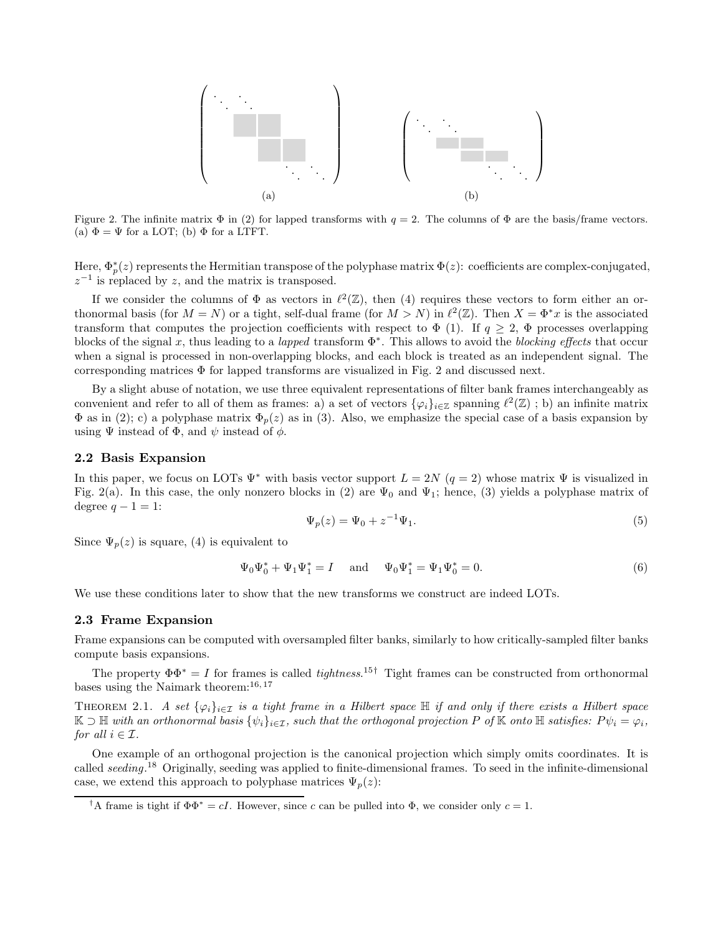

Figure 2. The infinite matrix  $\Phi$  in (2) for lapped transforms with  $q = 2$ . The columns of  $\Phi$  are the basis/frame vectors. (a)  $\Phi = \Psi$  for a LOT; (b)  $\Phi$  for a LTFT.

Here,  $\Phi_p^*(z)$  represents the Hermitian transpose of the polyphase matrix  $\Phi(z)$ : coefficients are complex-conjugated,  $z^{-1}$  is replaced by z, and the matrix is transposed.

If we consider the columns of  $\Phi$  as vectors in  $\ell^2(\mathbb{Z})$ , then (4) requires these vectors to form either an orthonormal basis (for  $M = N$ ) or a tight, self-dual frame (for  $M > N$ ) in  $\ell^2(\mathbb{Z})$ . Then  $X = \Phi^* x$  is the associated transform that computes the projection coefficients with respect to  $\Phi$  (1). If  $q \geq 2$ ,  $\Phi$  processes overlapping blocks of the signal x, thus leading to a *lapped* transform  $\Phi^*$ . This allows to avoid the *blocking effects* that occur when a signal is processed in non-overlapping blocks, and each block is treated as an independent signal. The corresponding matrices  $\Phi$  for lapped transforms are visualized in Fig. 2 and discussed next.

By a slight abuse of notation, we use three equivalent representations of filter bank frames interchangeably as convenient and refer to all of them as frames: a) a set of vectors  $\{\varphi_i\}_{i\in\mathbb{Z}}$  spanning  $\ell^2(\mathbb{Z})$ ; b) an infinite matrix  $\Phi$  as in (2); c) a polyphase matrix  $\Phi_p(z)$  as in (3). Also, we emphasize the special case of a basis expansion by using  $\Psi$  instead of  $\Phi$ , and  $\psi$  instead of  $\phi$ .

#### 2.2 Basis Expansion

In this paper, we focus on LOTs  $\Psi^*$  with basis vector support  $L = 2N$  ( $q = 2$ ) whose matrix  $\Psi$  is visualized in Fig. 2(a). In this case, the only nonzero blocks in (2) are  $\Psi_0$  and  $\Psi_1$ ; hence, (3) yields a polyphase matrix of degree  $q - 1 = 1$ :

$$
\Psi_p(z) = \Psi_0 + z^{-1} \Psi_1.
$$
\n(5)

Since  $\Psi_p(z)$  is square, (4) is equivalent to

$$
\Psi_0 \Psi_0^* + \Psi_1 \Psi_1^* = I
$$
 and  $\Psi_0 \Psi_1^* = \Psi_1 \Psi_0^* = 0.$  (6)

We use these conditions later to show that the new transforms we construct are indeed LOTs.

## 2.3 Frame Expansion

Frame expansions can be computed with oversampled filter banks, similarly to how critically-sampled filter banks compute basis expansions.

The property  $\Phi \Phi^* = I$  for frames is called *tightness*.<sup>15†</sup> Tight frames can be constructed from orthonormal bases using the Naimark theorem:16, 17

THEOREM 2.1. A set  $\{\varphi_i\}_{i\in\mathcal{I}}$  is a tight frame in a Hilbert space H if and only if there exists a Hilbert space  $\mathbb{K} \supset \mathbb{H}$  with an orthonormal basis  $\{\psi_i\}_{i \in \mathcal{I}}$ , such that the orthogonal projection P of  $\mathbb{K}$  onto  $\mathbb{H}$  satisfies:  $P\psi_i = \varphi_i$ , for all  $i \in \mathcal{I}$ .

One example of an orthogonal projection is the canonical projection which simply omits coordinates. It is called seeding.<sup>18</sup> Originally, seeding was applied to finite-dimensional frames. To seed in the infinite-dimensional case, we extend this approach to polyphase matrices  $\Psi_n(z)$ :

<sup>&</sup>lt;sup>†</sup>A frame is tight if  $\Phi \Phi^* = cI$ . However, since c can be pulled into  $\Phi$ , we consider only  $c = 1$ .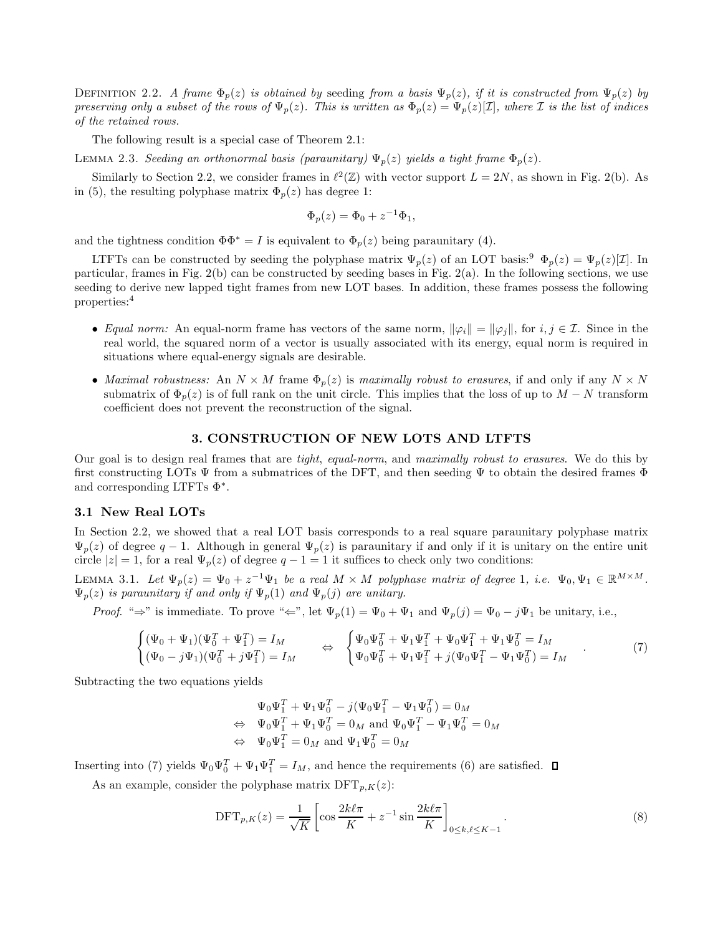DEFINITION 2.2. A frame  $\Phi_p(z)$  is obtained by seeding from a basis  $\Psi_p(z)$ , if it is constructed from  $\Psi_p(z)$  by preserving only a subset of the rows of  $\Psi_p(z)$ . This is written as  $\Phi_p(z) = \Psi_p(z)[\mathcal{I}]$ , where *I* is the list of indices of the retained rows.

The following result is a special case of Theorem 2.1:

LEMMA 2.3. Seeding an orthonormal basis (paraunitary)  $\Psi_p(z)$  yields a tight frame  $\Phi_p(z)$ .

Similarly to Section 2.2, we consider frames in  $\ell^2(\mathbb{Z})$  with vector support  $L = 2N$ , as shown in Fig. 2(b). As in (5), the resulting polyphase matrix  $\Phi_p(z)$  has degree 1:

$$
\Phi_p(z) = \Phi_0 + z^{-1} \Phi_1,
$$

and the tightness condition  $\Phi \Phi^* = I$  is equivalent to  $\Phi_p(z)$  being paraunitary (4).

LTFTs can be constructed by seeding the polyphase matrix  $\Psi_p(z)$  of an LOT basis:<sup>9</sup>  $\Phi_p(z) = \Psi_p(z)[\mathcal{I}]$ . In particular, frames in Fig. 2(b) can be constructed by seeding bases in Fig. 2(a). In the following sections, we use seeding to derive new lapped tight frames from new LOT bases. In addition, these frames possess the following properties:<sup>4</sup>

- Equal norm: An equal-norm frame has vectors of the same norm,  $\|\varphi_i\| = \|\varphi_j\|$ , for  $i, j \in \mathcal{I}$ . Since in the real world, the squared norm of a vector is usually associated with its energy, equal norm is required in situations where equal-energy signals are desirable.
- Maximal robustness: An  $N \times M$  frame  $\Phi_p(z)$  is maximally robust to erasures, if and only if any  $N \times N$ submatrix of  $\Phi_p(z)$  is of full rank on the unit circle. This implies that the loss of up to  $M-N$  transform coefficient does not prevent the reconstruction of the signal.

# 3. CONSTRUCTION OF NEW LOTS AND LTFTS

Our goal is to design real frames that are *tight, equal-norm*, and maximally robust to erasures. We do this by first constructing LOTs  $\Psi$  from a submatrices of the DFT, and then seeding  $\Psi$  to obtain the desired frames  $\Phi$ and corresponding LTFTs Φ<sup>∗</sup> .

## 3.1 New Real LOTs

In Section 2.2, we showed that a real LOT basis corresponds to a real square paraunitary polyphase matrix  $\Psi_p(z)$  of degree  $q-1$ . Although in general  $\Psi_p(z)$  is paraunitary if and only if it is unitary on the entire unit circle  $|z|=1$ , for a real  $\Psi_p(z)$  of degree  $q-1=1$  it suffices to check only two conditions:

LEMMA 3.1. Let  $\Psi_p(z) = \Psi_0 + z^{-1}\Psi_1$  be a real  $M \times M$  polyphase matrix of degree 1, i.e.  $\Psi_0, \Psi_1 \in \mathbb{R}^{M \times M}$ .  $\Psi_p(z)$  is paraunitary if and only if  $\Psi_p(1)$  and  $\Psi_p(j)$  are unitary.

*Proof.* "⇒" is immediate. To prove "∈", let  $\Psi_p(1) = \Psi_0 + \Psi_1$  and  $\Psi_p(j) = \Psi_0 - j\Psi_1$  be unitary, i.e.,

$$
\begin{cases} (\Psi_0 + \Psi_1)(\Psi_0^T + \Psi_1^T) = I_M & \Leftrightarrow \begin{cases} \Psi_0 \Psi_0^T + \Psi_1 \Psi_1^T + \Psi_0 \Psi_1^T + \Psi_1 \Psi_0^T = I_M \\ (\Psi_0 - j\Psi_1)(\Psi_0^T + j\Psi_1^T) = I_M \end{cases} & \Leftrightarrow \begin{cases} \Psi_0 \Psi_0^T + \Psi_1 \Psi_1^T + \Psi_0 \Psi_1^T + \Psi_1 \Psi_0^T = I_M \end{cases} \tag{7}
$$

Subtracting the two equations yields

$$
\Psi_0 \Psi_1^T + \Psi_1 \Psi_0^T - j(\Psi_0 \Psi_1^T - \Psi_1 \Psi_0^T) = 0_M
$$
  
\n
$$
\Leftrightarrow \Psi_0 \Psi_1^T + \Psi_1 \Psi_0^T = 0_M \text{ and } \Psi_0 \Psi_1^T - \Psi_1 \Psi_0^T = 0_M
$$
  
\n
$$
\Leftrightarrow \Psi_0 \Psi_1^T = 0_M \text{ and } \Psi_1 \Psi_0^T = 0_M
$$

Inserting into (7) yields  $\Psi_0\Psi_0^T + \Psi_1\Psi_1^T = I_M$ , and hence the requirements (6) are satisfied.

As an example, consider the polyphase matrix  $\text{DFT}_{p,K}(z)$ :

$$
\text{DFT}_{p,K}(z) = \frac{1}{\sqrt{K}} \left[ \cos \frac{2k\ell\pi}{K} + z^{-1} \sin \frac{2k\ell\pi}{K} \right]_{0 \le k,\ell \le K-1} . \tag{8}
$$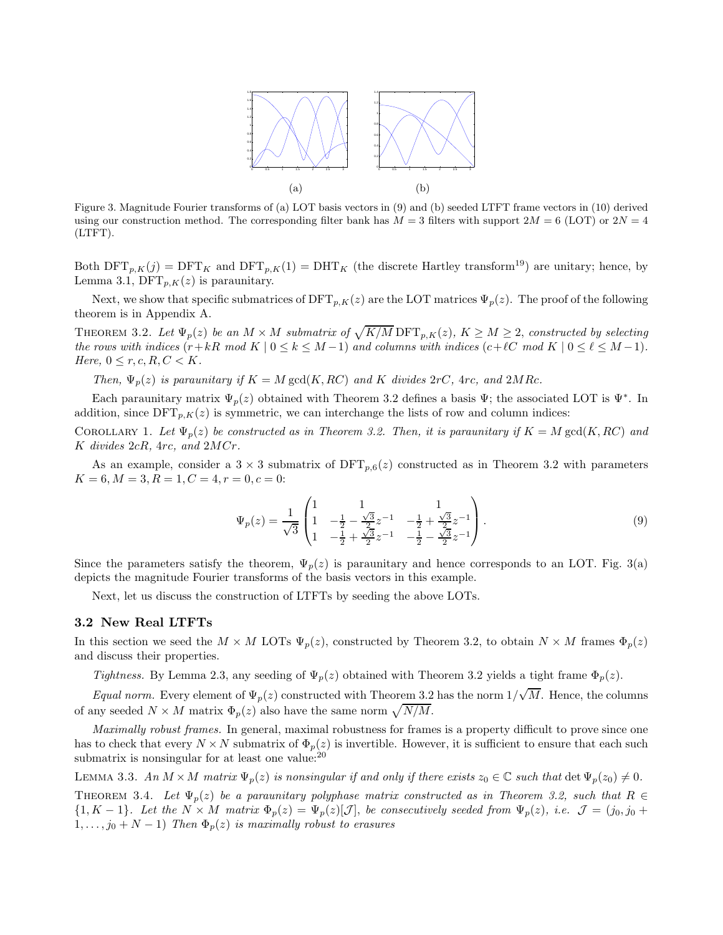

Figure 3. Magnitude Fourier transforms of (a) LOT basis vectors in (9) and (b) seeded LTFT frame vectors in (10) derived using our construction method. The corresponding filter bank has  $M = 3$  filters with support  $2M = 6$  (LOT) or  $2N = 4$ (LTFT).

Both  $\text{DFT}_{p,K}(j) = \text{DFT}_K$  and  $\text{DFT}_{p,K}(1) = \text{DHT}_K$  (the discrete Hartley transform<sup>19</sup>) are unitary; hence, by Lemma 3.1,  $\text{DFT}_{p,K}(z)$  is paraunitary.

Next, we show that specific submatrices of  $\text{DFT}_{p,K}(z)$  are the LOT matrices  $\Psi_p(z)$ . The proof of the following theorem is in Appendix A.

THEOREM 3.2. Let  $\Psi_p(z)$  be an  $M \times M$  submatrix of  $\sqrt{K/M}$  DFT $_{p,K}(z)$ ,  $K \geq M \geq 2$ , constructed by selecting the rows with indices  $(r+kR \mod K \mid 0 \leq k \leq M-1)$  and columns with indices  $(c+\ell C \mod K \mid 0 \leq \ell \leq M-1)$ . Here,  $0 \leq r, c, R, C < K$ .

Then,  $\Psi_p(z)$  is paraunitary if  $K = M \text{ gcd}(K, RC)$  and K divides  $2rC$ ,  $4rc$ , and  $2MRc$ .

Each paraunitary matrix  $\Psi_p(z)$  obtained with Theorem 3.2 defines a basis  $\Psi$ ; the associated LOT is  $\Psi^*$ . In addition, since  $\text{DFT}_{p,K}(z)$  is symmetric, we can interchange the lists of row and column indices:

COROLLARY 1. Let  $\Psi_p(z)$  be constructed as in Theorem 3.2. Then, it is paraunitary if  $K = M \text{ gcd}(K, RC)$  and  $K$  divides  $2cR$ ,  $4rc$ , and  $2MCr$ .

As an example, consider a  $3 \times 3$  submatrix of  $\text{DFT}_{p,6}(z)$  constructed as in Theorem 3.2 with parameters  $K = 6, M = 3, R = 1, C = 4, r = 0, c = 0:$ 

$$
\Psi_p(z) = \frac{1}{\sqrt{3}} \begin{pmatrix} 1 & 1 & 1 \\ 1 & -\frac{1}{2} - \frac{\sqrt{3}}{2} z^{-1} & -\frac{1}{2} + \frac{\sqrt{3}}{2} z^{-1} \\ 1 & -\frac{1}{2} + \frac{\sqrt{3}}{2} z^{-1} & -\frac{1}{2} - \frac{\sqrt{3}}{2} z^{-1} \end{pmatrix} . \tag{9}
$$

Since the parameters satisfy the theorem,  $\Psi_p(z)$  is paraunitary and hence corresponds to an LOT. Fig. 3(a) depicts the magnitude Fourier transforms of the basis vectors in this example.

Next, let us discuss the construction of LTFTs by seeding the above LOTs.

## 3.2 New Real LTFTs

In this section we seed the  $M \times M$  LOTs  $\Psi_p(z)$ , constructed by Theorem 3.2, to obtain  $N \times M$  frames  $\Phi_p(z)$ and discuss their properties.

Tightness. By Lemma 2.3, any seeding of  $\Psi_p(z)$  obtained with Theorem 3.2 yields a tight frame  $\Phi_p(z)$ .

Equal norm. Every element of  $\Psi_p(z)$  constructed with Theorem 3.2 has the norm  $1/\sqrt{M}$ . Hence, the columns of any seeded  $N \times M$  matrix  $\Phi_p(z)$  also have the same norm  $\sqrt{N/M}$ .

Maximally robust frames. In general, maximal robustness for frames is a property difficult to prove since one has to check that every  $N \times N$  submatrix of  $\Phi_n(z)$  is invertible. However, it is sufficient to ensure that each such submatrix is nonsingular for at least one value: $^{20}$ 

LEMMA 3.3. An  $M \times M$  matrix  $\Psi_p(z)$  is nonsingular if and only if there exists  $z_0 \in \mathbb{C}$  such that  $\det \Psi_p(z_0) \neq 0$ . THEOREM 3.4. Let  $\Psi_p(z)$  be a paraunitary polyphase matrix constructed as in Theorem 3.2, such that  $R \in$  ${1, K-1}.$  Let the  $N \times M$  matrix  $\Phi_p(z) = \Psi_p(z)[\mathcal{J}]$ , be consecutively seeded from  $\Psi_p(z)$ , i.e.  $\mathcal{J} = (j_0, j_0 + \mathcal{J})$  $1, \ldots, j_0 + N - 1$ ) Then  $\Phi_p(z)$  is maximally robust to erasures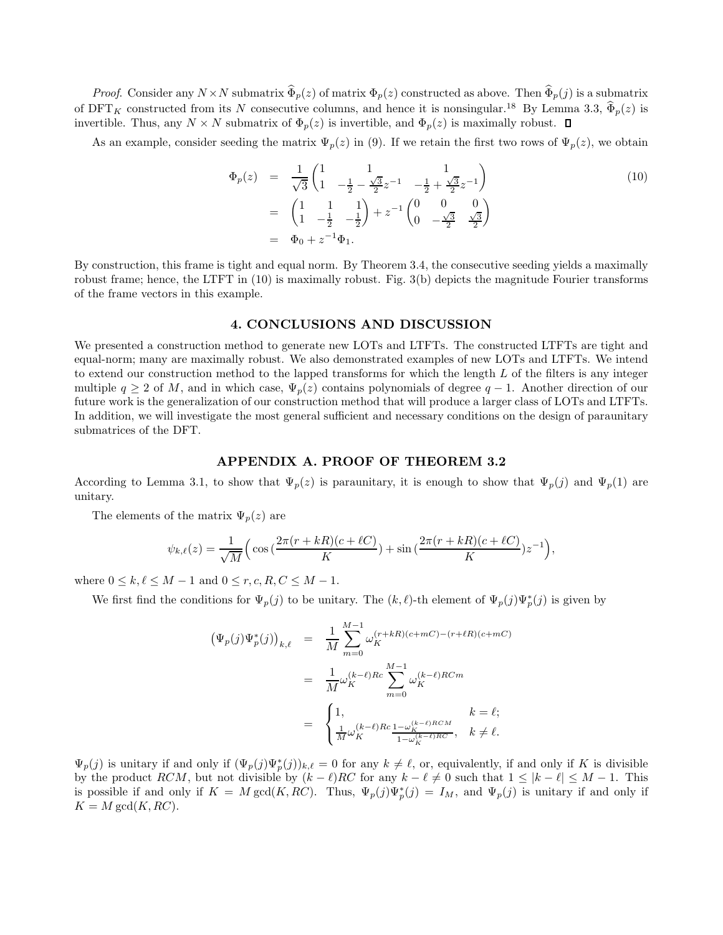*Proof.* Consider any  $N \times N$  submatrix  $\widehat{\Phi}_p(z)$  of matrix  $\Phi_p(z)$  constructed as above. Then  $\widehat{\Phi}_p(j)$  is a submatrix of  $\text{DFT}_K$  constructed from its N consecutive columns, and hence it is nonsingular.<sup>18</sup> By Lemma 3.3,  $\widehat{\Phi}_p(z)$  is invertible. Thus, any  $N \times N$  submatrix of  $\Phi_p(z)$  is invertible, and  $\Phi_p(z)$  is maximally robust.  $\Box$ 

As an example, consider seeding the matrix  $\Psi_p(z)$  in (9). If we retain the first two rows of  $\Psi_p(z)$ , we obtain

$$
\Phi_p(z) = \frac{1}{\sqrt{3}} \begin{pmatrix} 1 & 1 & 1 \\ 1 & -\frac{1}{2} - \frac{\sqrt{3}}{2} z^{-1} & -\frac{1}{2} + \frac{\sqrt{3}}{2} z^{-1} \end{pmatrix}
$$
\n
$$
= \begin{pmatrix} 1 & 1 & 1 \\ 1 & -\frac{1}{2} & -\frac{1}{2} \end{pmatrix} + z^{-1} \begin{pmatrix} 0 & 0 & 0 \\ 0 & -\frac{\sqrt{3}}{2} & \frac{\sqrt{3}}{2} \end{pmatrix}
$$
\n
$$
= \Phi_0 + z^{-1} \Phi_1.
$$
\n(10)

By construction, this frame is tight and equal norm. By Theorem 3.4, the consecutive seeding yields a maximally robust frame; hence, the LTFT in (10) is maximally robust. Fig. 3(b) depicts the magnitude Fourier transforms of the frame vectors in this example.

# 4. CONCLUSIONS AND DISCUSSION

We presented a construction method to generate new LOTs and LTFTs. The constructed LTFTs are tight and equal-norm; many are maximally robust. We also demonstrated examples of new LOTs and LTFTs. We intend to extend our construction method to the lapped transforms for which the length  $L$  of the filters is any integer multiple  $q \geq 2$  of M, and in which case,  $\Psi_p(z)$  contains polynomials of degree  $q-1$ . Another direction of our future work is the generalization of our construction method that will produce a larger class of LOTs and LTFTs. In addition, we will investigate the most general sufficient and necessary conditions on the design of paraunitary submatrices of the DFT.

## APPENDIX A. PROOF OF THEOREM 3.2

According to Lemma 3.1, to show that  $\Psi_p(z)$  is paraunitary, it is enough to show that  $\Psi_p(j)$  and  $\Psi_p(1)$  are unitary.

The elements of the matrix  $\Psi_p(z)$  are

$$
\psi_{k,\ell}(z) = \frac{1}{\sqrt{M}} \Big( \cos \big( \frac{2\pi (r + kR)(c + \ell C)}{K} \big) + \sin \big( \frac{2\pi (r + kR)(c + \ell C)}{K} \big) z^{-1} \Big),\,
$$

where  $0 \leq k, \ell \leq M-1$  and  $0 \leq r, c, R, C \leq M-1$ .

We first find the conditions for  $\Psi_p(j)$  to be unitary. The  $(k, \ell)$ -th element of  $\Psi_p(j)\Psi_p^*(j)$  is given by

$$
\begin{array}{lcl} \displaystyle \left(\Psi_{p}(j)\Psi_{p}^{*}(j)\right)_{k,\ell} & = & \displaystyle \frac{1}{M} \sum_{m=0}^{M-1} \omega_{K}^{(r+kR)(c+mC)-(r+\ell R)(c+mC)} \\ \\ \displaystyle & = & \displaystyle \frac{1}{M} \omega_{K}^{(k-\ell)Rc} \sum_{m=0}^{M-1} \omega_{K}^{(k-\ell)RCm} \\ \\ \displaystyle & = & \displaystyle \begin{cases} 1, & k=\ell; \\ \displaystyle \frac{1}{M} \omega_{K}^{(k-\ell)Rc} \frac{1-\omega_{K}^{(k-\ell)RCM}}{1-\omega_{K}^{(k-\ell)RC}}, & k \neq \ell. \end{cases} \end{array}
$$

 $\Psi_p(j)$  is unitary if and only if  $(\Psi_p(j)\Psi_p^*(j))_{k,\ell} = 0$  for any  $k \neq \ell$ , or, equivalently, if and only if K is divisible by the product RCM, but not divisible by  $(k - \ell)$ RC for any  $k - \ell \neq 0$  such that  $1 \leq |k - \ell| \leq M - 1$ . This is possible if and only if  $K = M \text{ gcd}(K, RC)$ . Thus,  $\Psi_p(j)\Psi_p^*(j) = I_M$ , and  $\Psi_p(j)$  is unitary if and only if  $K = M \gcd(K, RC).$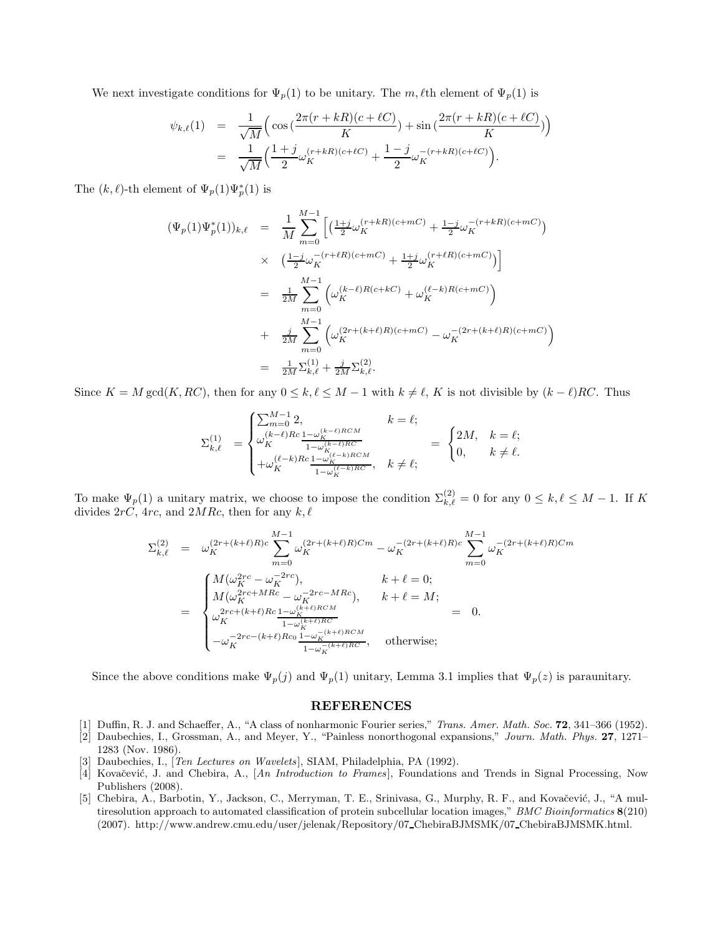We next investigate conditions for  $\Psi_p(1)$  to be unitary. The m,  $\ell$ th element of  $\Psi_p(1)$  is

$$
\psi_{k,\ell}(1) = \frac{1}{\sqrt{M}} \Big( \cos \big( \frac{2\pi (r + kR)(c + \ell C)}{K} \big) + \sin \big( \frac{2\pi (r + kR)(c + \ell C)}{K} \big) \Big)
$$
  
= 
$$
\frac{1}{\sqrt{M}} \Big( \frac{1 + j}{2} \omega_K^{(r + kR)(c + \ell C)} + \frac{1 - j}{2} \omega_K^{-(r + kR)(c + \ell C)} \Big).
$$

The  $(k, \ell)$ -th element of  $\Psi_p(1)\Psi_p^*(1)$  is

$$
(\Psi_p(1)\Psi_p^*(1))_{k,\ell} = \frac{1}{M} \sum_{m=0}^{M-1} \left[ \left( \frac{1+j}{2} \omega_K^{(r+kR)(c+mC)} + \frac{1-j}{2} \omega_K^{-(r+kR)(c+mC)} \right) \times \left( \frac{1-j}{2} \omega_K^{-(r+\ell R)(c+mC)} + \frac{1+j}{2} \omega_K^{(r+\ell R)(c+mC)} \right) \right]
$$
  

$$
= \frac{1}{2M} \sum_{m=0}^{M-1} \left( \omega_K^{(k-\ell)R(c+kC)} + \omega_K^{(\ell-k)R(c+mC)} \right)
$$
  

$$
+ \frac{j}{2M} \sum_{m=0}^{M-1} \left( \omega_K^{(2r+(k+\ell)R)(c+mC)} - \omega_K^{-(2r+(k+\ell)R)(c+mC)} \right)
$$
  

$$
= \frac{1}{2M} \Sigma_{k,\ell}^{(1)} + \frac{j}{2M} \Sigma_{k,\ell}^{(2)}.
$$

Since  $K = M \gcd(K, RC)$ , then for any  $0 \le k, \ell \le M - 1$  with  $k \ne \ell, K$  is not divisible by  $(k - \ell)RC$ . Thus

$$
\Sigma_{k,\ell}^{(1)} \quad = \begin{cases} \sum_{m=0}^{M-1} 2, & k=\ell; \\ \omega_K^{(k-\ell)Rc} \frac{1-\omega_K^{(k-\ell)RCM}}{1-\omega_K^{(k-\ell)RCM}} & = \begin{cases} 2M, & k=\ell; \\ 0, & k=\ell; \end{cases} \\ + \omega_K^{(\ell-k)Rc} \frac{1-\omega_K^{(\ell-k)RCM}}{1-\omega_K^{(\ell-k)RCM}}, & k\neq \ell; \end{cases}
$$

To make  $\Psi_p(1)$  a unitary matrix, we choose to impose the condition  $\Sigma_{k,\ell}^{(2)} = 0$  for any  $0 \le k, \ell \le M-1$ . If K divides  $2rC$ ,  $4rc$ , and  $2MRc$ , then for any  $k, \ell$ 

$$
\Sigma_{k,\ell}^{(2)} = \omega_K^{(2r+(k+\ell)R)c} \sum_{m=0}^{M-1} \omega_K^{(2r+(k+\ell)R)Cm} - \omega_K^{-(2r+(k+\ell)R)c} \sum_{m=0}^{M-1} \omega_K^{-(2r+(k+\ell)R)Cm}
$$
\n
$$
= \begin{cases}\nM(\omega_K^{2rc} - \omega_K^{-2rc}), & k+\ell = 0; \\
M(\omega_K^{2rc+MRc} - \omega_K^{-2rc-MRc}), & k+\ell = M; \\
\omega_K^{2rc+(k+\ell)Rc} \frac{1 - \omega_K^{(k+\ell)RCM}}{1 - \omega_K^{(k+\ell)RCM}} & = 0. \\
-\omega_K^{-2rc-(k+\ell)Rc_0} \frac{1 - \omega_K^{-(k+\ell)RCM}}{1 - \omega_K^{-(k+\ell)RCA}}, & \text{otherwise};\n\end{cases}
$$

Since the above conditions make  $\Psi_p(j)$  and  $\Psi_p(1)$  unitary, Lemma 3.1 implies that  $\Psi_p(z)$  is paraunitary.

## REFERENCES

- [1] Duffin, R. J. and Schaeffer, A., "A class of nonharmonic Fourier series," Trans. Amer. Math. Soc. 72, 341-366 (1952).
- [2] Daubechies, I., Grossman, A., and Meyer, Y., "Painless nonorthogonal expansions," Journ. Math. Phys. 27, 1271– 1283 (Nov. 1986).
- [3] Daubechies, I., [Ten Lectures on Wavelets], SIAM, Philadelphia, PA (1992).
- [4] Kovačević, J. and Chebira, A., [An Introduction to Frames], Foundations and Trends in Signal Processing, Now Publishers (2008).
- [5] Chebira, A., Barbotin, Y., Jackson, C., Merryman, T. E., Srinivasa, G., Murphy, R. F., and Kovačević, J., "A multiresolution approach to automated classification of protein subcellular location images," BMC Bioinformatics 8(210) (2007). http://www.andrew.cmu.edu/user/jelenak/Repository/07 ChebiraBJMSMK/07 ChebiraBJMSMK.html.